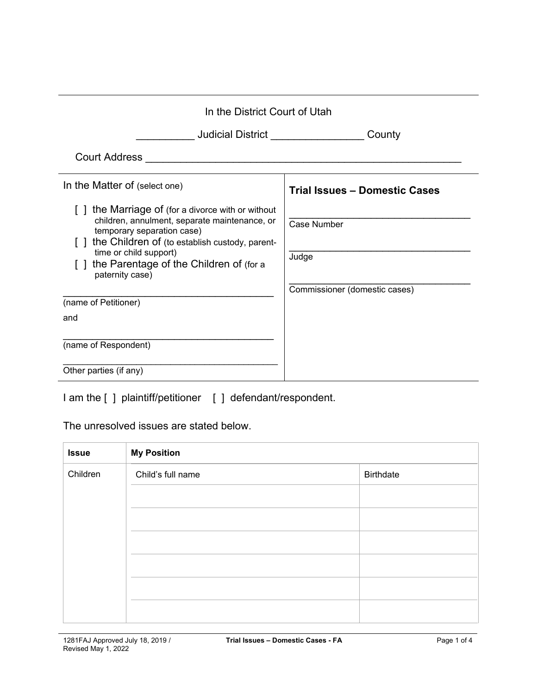| In the District Court of Utah                                                                                                                                                                                                                                           |                                                       |
|-------------------------------------------------------------------------------------------------------------------------------------------------------------------------------------------------------------------------------------------------------------------------|-------------------------------------------------------|
| Judicial District <b>Contract Contract Contract Contract Contract Control</b>                                                                                                                                                                                           | County                                                |
| <b>Court Address</b>                                                                                                                                                                                                                                                    |                                                       |
| In the Matter of (select one)                                                                                                                                                                                                                                           | <b>Trial Issues - Domestic Cases</b>                  |
| the Marriage of (for a divorce with or without<br>children, annulment, separate maintenance, or<br>temporary separation case)<br>the Children of (to establish custody, parent-<br>time or child support)<br>the Parentage of the Children of (for a<br>paternity case) | Case Number<br>Judge<br>Commissioner (domestic cases) |
| (name of Petitioner)                                                                                                                                                                                                                                                    |                                                       |
| and<br>(name of Respondent)                                                                                                                                                                                                                                             |                                                       |
| Other parties (if any)                                                                                                                                                                                                                                                  |                                                       |

I am the [ ] plaintiff/petitioner [ ] defendant/respondent.

## The unresolved issues are stated below.

| <b>Issue</b> | <b>My Position</b> |                  |
|--------------|--------------------|------------------|
| Children     | Child's full name  | <b>Birthdate</b> |
|              |                    |                  |
|              |                    |                  |
|              |                    |                  |
|              |                    |                  |
|              |                    |                  |
|              |                    |                  |
|              |                    |                  |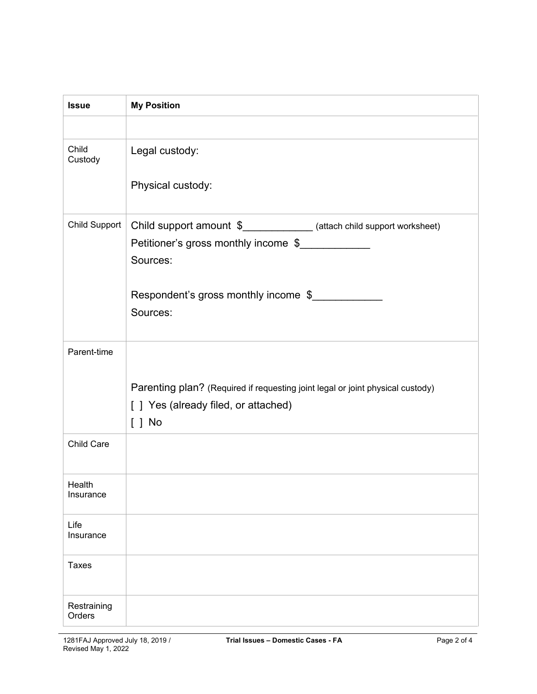| <b>Issue</b>          | <b>My Position</b>                                                                                            |
|-----------------------|---------------------------------------------------------------------------------------------------------------|
|                       |                                                                                                               |
| Child<br>Custody      | Legal custody:                                                                                                |
|                       | Physical custody:                                                                                             |
| Child Support         | Child support amount \$_____________ (attach child support worksheet)<br>Petitioner's gross monthly income \$ |
|                       | Sources:                                                                                                      |
|                       | Respondent's gross monthly income \$                                                                          |
|                       | Sources:                                                                                                      |
| Parent-time           |                                                                                                               |
|                       | Parenting plan? (Required if requesting joint legal or joint physical custody)                                |
|                       | [ ] Yes (already filed, or attached)                                                                          |
|                       | $[ ]$ No                                                                                                      |
| Child Care            |                                                                                                               |
| Health<br>Insurance   |                                                                                                               |
| Life<br>Insurance     |                                                                                                               |
| <b>Taxes</b>          |                                                                                                               |
| Restraining<br>Orders |                                                                                                               |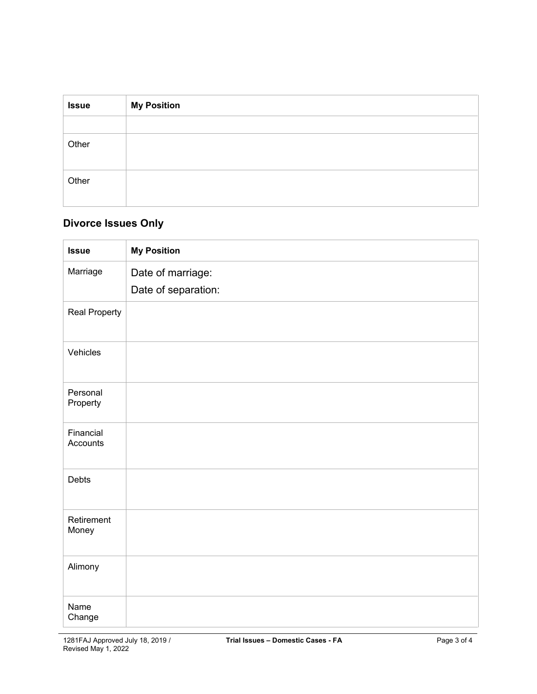| <b>Issue</b> | <b>My Position</b> |
|--------------|--------------------|
|              |                    |
| Other        |                    |
| Other        |                    |

## **Divorce Issues Only**

| <b>Issue</b>          | <b>My Position</b>                       |
|-----------------------|------------------------------------------|
| Marriage              | Date of marriage:<br>Date of separation: |
| <b>Real Property</b>  |                                          |
| Vehicles              |                                          |
| Personal<br>Property  |                                          |
| Financial<br>Accounts |                                          |
| Debts                 |                                          |
| Retirement<br>Money   |                                          |
| Alimony               |                                          |
| Name<br>Change        |                                          |